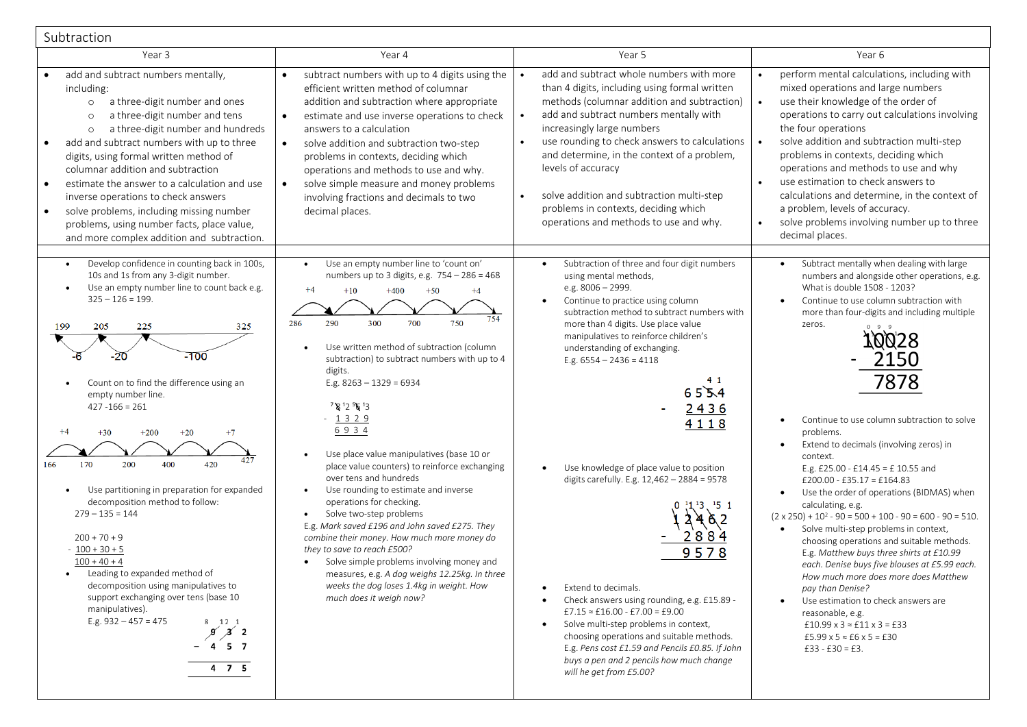| Subtraction                                                                                                                                                                                                                                                                                                                                                                                                                                                                                                                                                                                                                                                                                                                                                     |                                                                                                                                                                                                                                                                                                                                                                                                                                                                                                                                                                                                                                                                                                                                                                                                                                                                                         |                                                                                                                                                                                                                                                                                                                                                                                                                                                                                                                                                                                                                                                                                                                                                                                                                       |                                                                                                                                                                                                                                                                                                                                                                                                                                                                                                                                                                                                                                                                                                                                                                                                                                                                                                                                                                                                                                                                    |  |  |
|-----------------------------------------------------------------------------------------------------------------------------------------------------------------------------------------------------------------------------------------------------------------------------------------------------------------------------------------------------------------------------------------------------------------------------------------------------------------------------------------------------------------------------------------------------------------------------------------------------------------------------------------------------------------------------------------------------------------------------------------------------------------|-----------------------------------------------------------------------------------------------------------------------------------------------------------------------------------------------------------------------------------------------------------------------------------------------------------------------------------------------------------------------------------------------------------------------------------------------------------------------------------------------------------------------------------------------------------------------------------------------------------------------------------------------------------------------------------------------------------------------------------------------------------------------------------------------------------------------------------------------------------------------------------------|-----------------------------------------------------------------------------------------------------------------------------------------------------------------------------------------------------------------------------------------------------------------------------------------------------------------------------------------------------------------------------------------------------------------------------------------------------------------------------------------------------------------------------------------------------------------------------------------------------------------------------------------------------------------------------------------------------------------------------------------------------------------------------------------------------------------------|--------------------------------------------------------------------------------------------------------------------------------------------------------------------------------------------------------------------------------------------------------------------------------------------------------------------------------------------------------------------------------------------------------------------------------------------------------------------------------------------------------------------------------------------------------------------------------------------------------------------------------------------------------------------------------------------------------------------------------------------------------------------------------------------------------------------------------------------------------------------------------------------------------------------------------------------------------------------------------------------------------------------------------------------------------------------|--|--|
| Year 3                                                                                                                                                                                                                                                                                                                                                                                                                                                                                                                                                                                                                                                                                                                                                          | Year 4                                                                                                                                                                                                                                                                                                                                                                                                                                                                                                                                                                                                                                                                                                                                                                                                                                                                                  | Year 5                                                                                                                                                                                                                                                                                                                                                                                                                                                                                                                                                                                                                                                                                                                                                                                                                | Year 6                                                                                                                                                                                                                                                                                                                                                                                                                                                                                                                                                                                                                                                                                                                                                                                                                                                                                                                                                                                                                                                             |  |  |
| add and subtract numbers mentally,<br>including:<br>a three-digit number and ones<br>$\circ$<br>a three-digit number and tens<br>$\circ$<br>a three-digit number and hundreds<br>$\circ$<br>add and subtract numbers with up to three<br>digits, using formal written method of<br>columnar addition and subtraction<br>estimate the answer to a calculation and use<br>inverse operations to check answers<br>solve problems, including missing number<br>problems, using number facts, place value,<br>and more complex addition and subtraction.                                                                                                                                                                                                             | subtract numbers with up to 4 digits using the<br>$\bullet$<br>efficient written method of columnar<br>addition and subtraction where appropriate<br>$\bullet$<br>estimate and use inverse operations to check<br>answers to a calculation<br>$\bullet$<br>solve addition and subtraction two-step<br>problems in contexts, deciding which<br>operations and methods to use and why.<br>solve simple measure and money problems<br>$\bullet$<br>involving fractions and decimals to two<br>decimal places.                                                                                                                                                                                                                                                                                                                                                                              | add and subtract whole numbers with more<br>$\bullet$<br>than 4 digits, including using formal written<br>methods (columnar addition and subtraction)<br>add and subtract numbers mentally with<br>$\bullet$<br>increasingly large numbers<br>use rounding to check answers to calculations<br>$\bullet$<br>and determine, in the context of a problem,<br>levels of accuracy<br>solve addition and subtraction multi-step<br>$\bullet$<br>problems in contexts, deciding which<br>operations and methods to use and why.                                                                                                                                                                                                                                                                                             | perform mental calculations, including with<br>mixed operations and large numbers<br>use their knowledge of the order of<br>operations to carry out calculations involving<br>the four operations<br>solve addition and subtraction multi-step<br>problems in contexts, deciding which<br>operations and methods to use and why<br>use estimation to check answers to<br>calculations and determine, in the context of<br>a problem, levels of accuracy.<br>solve problems involving number up to three<br>decimal places.                                                                                                                                                                                                                                                                                                                                                                                                                                                                                                                                         |  |  |
| Develop confidence in counting back in 100s,<br>$\bullet$<br>10s and 1s from any 3-digit number.<br>Use an empty number line to count back e.g.<br>$325 - 126 = 199.$<br>199<br>205<br>225<br>325<br>-100<br>Count on to find the difference using an<br>empty number line.<br>$427 - 166 = 261$<br>$+4$<br>$+30$<br>$+20$<br>$+7$<br>$+200$<br>427<br>200<br>400<br>420<br>166<br>170<br>Use partitioning in preparation for expanded<br>decomposition method to follow:<br>$279 - 135 = 144$<br>$200 + 70 + 9$<br>$-100 + 30 + 5$<br>$100 + 40 + 4$<br>Leading to expanded method of<br>decomposition using manipulatives to<br>support exchanging over tens (base 10<br>manipulatives).<br>E.g. $932 - 457 = 475$<br>8 12 1<br>$\chi$ 2<br>$-457$<br>$4$ 7 5 | Use an empty number line to 'count on'<br>$\bullet$<br>numbers up to 3 digits, e.g. 754 - 286 = 468<br>$+4$<br>$+400$<br>$+50$<br>$+10$<br>$+4$<br>750<br>286<br>290<br>300<br>700<br>Use written method of subtraction (column<br>subtraction) to subtract numbers with up to 4<br>digits.<br>E.g. $8263 - 1329 = 6934$<br>7 8 12 56 13<br>$-1329$<br>6934<br>Use place value manipulatives (base 10 or<br>place value counters) to reinforce exchanging<br>over tens and hundreds<br>Use rounding to estimate and inverse<br>operations for checking.<br>Solve two-step problems<br>E.g. Mark saved £196 and John saved £275. They<br>combine their money. How much more money do<br>they to save to reach £500?<br>Solve simple problems involving money and<br>measures, e.g. A dog weighs 12.25kg. In three<br>weeks the dog loses 1.4kg in weight. How<br>much does it weigh now? | Subtraction of three and four digit numbers<br>$\bullet$<br>using mental methods,<br>e.g. 8006 - 2999.<br>Continue to practice using column<br>subtraction method to subtract numbers with<br>more than 4 digits. Use place value<br>manipulatives to reinforce children's<br>understanding of exchanging.<br>E.g. $6554 - 2436 = 4118$<br>41<br>6554<br>2436<br>4118<br>Use knowledge of place value to position<br>digits carefully. E.g. 12,462 - 2884 = 9578<br>151<br>28<br>9578<br>Extend to decimals.<br>Check answers using rounding, e.g. £15.89 -<br>$£7.15 \approx £16.00 - £7.00 = £9.00$<br>Solve multi-step problems in context,<br>choosing operations and suitable methods.<br>E.g. Pens cost £1.59 and Pencils £0.85. If John<br>buys a pen and 2 pencils how much change<br>will he get from £5.00? | Subtract mentally when dealing with large<br>$\bullet$<br>numbers and alongside other operations, e.g.<br>What is double 1508 - 1203?<br>Continue to use column subtraction with<br>$\bullet$<br>more than four-digits and including multiple<br>zeros.<br>7878<br>Continue to use column subtraction to solve<br>problems.<br>Extend to decimals (involving zeros) in<br>$\bullet$<br>context.<br>E.g. £25.00 - £14.45 = £10.55 and<br>£200.00 - £35.17 = £164.83<br>Use the order of operations (BIDMAS) when<br>$\bullet$<br>calculating, e.g.<br>$(2 \times 250) + 10^2 - 90 = 500 + 100 - 90 = 600 - 90 = 510.$<br>Solve multi-step problems in context,<br>$\bullet$<br>choosing operations and suitable methods.<br>E.g. Matthew buys three shirts at £10.99<br>each. Denise buys five blouses at £5.99 each.<br>How much more does more does Matthew<br>pay than Denise?<br>Use estimation to check answers are<br>reasonable, e.g.<br>$\pounds10.99$ x 3 $\approx$ $\pounds11$ x 3 = $\pounds33$<br>£5.99 x 5 $\approx$ £6 x 5 = £30<br>$£33 - £30 = £3.$ |  |  |